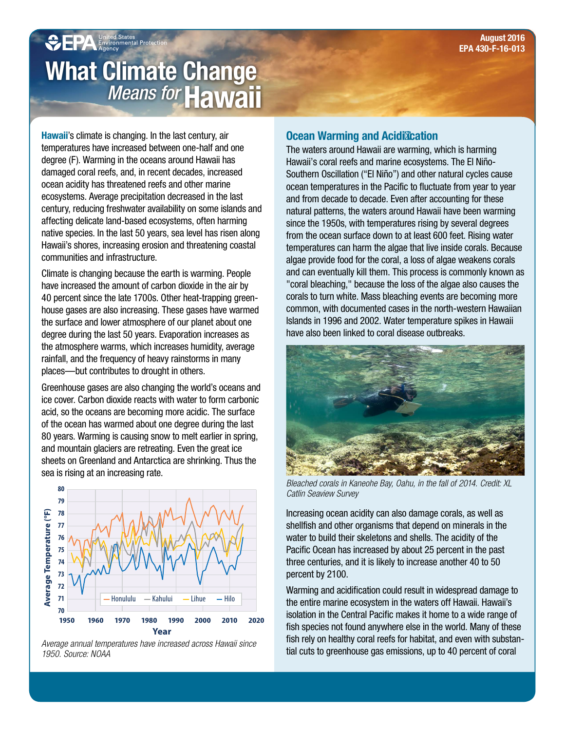# **CEPA** United States<br>A Environmental Protect What Climate Change *Means for* Hawaii

Hawaii's climate is changing. In the last century, air temperatures have increased between one-half and one degree (F). Warming in the oceans around Hawaii has damaged coral reefs, and, in recent decades, increased ocean acidity has threatened reefs and other marine ecosystems. Average precipitation decreased in the last century, reducing freshwater availability on some islands and affecting delicate land-based ecosystems, often harming native species. In the last 50 years, sea level has risen along Hawaii's shores, increasing erosion and threatening coastal communities and infrastructure.

Climate is changing because the earth is warming. People have increased the amount of carbon dioxide in the air by 40 percent since the late 1700s. Other heat-trapping greenhouse gases are also increasing. These gases have warmed the surface and lower atmosphere of our planet about one degree during the last 50 years. Evaporation increases as the atmosphere warms, which increases humidity, average rainfall, and the frequency of heavy rainstorms in many places—but contributes to drought in others.

Greenhouse gases are also changing the world's oceans and ice cover. Carbon dioxide reacts with water to form carbonic acid, so the oceans are becoming more acidic. The surface of the ocean has warmed about one degree during the last 80 years. Warming is causing snow to melt earlier in spring, and mountain glaciers are retreating. Even the great ice sheets on Greenland and Antarctica are shrinking. Thus the sea is rising at an increasing rate.



Average annual temperatures have increased across Hawaii since 1950. Source: NOAA

#### Ocean Warming and Acidification

The waters around Hawaii are warming, which is harming Hawaii's coral reefs and marine ecosystems. The El Niño-Southern Oscillation ("El Niño") and other natural cycles cause ocean temperatures in the Pacific to fluctuate from year to year and from decade to decade. Even after accounting for these natural patterns, the waters around Hawaii have been warming since the 1950s, with temperatures rising by several degrees from the ocean surface down to at least 600 feet. Rising water temperatures can harm the algae that live inside corals. Because algae provide food for the coral, a loss of algae weakens corals and can eventually kill them. This process is commonly known as "coral bleaching," because the loss of the algae also causes the corals to turn white. Mass bleaching events are becoming more common, with documented cases in the north-western Hawaiian Islands in 1996 and 2002. Water temperature spikes in Hawaii have also been linked to coral disease outbreaks.



Bleached corals in Kaneohe Bay, Oahu, in the fall of 2014. Credit: XL Catlin Seaview Survey

Increasing ocean acidity can also damage corals, as well as shellfish and other organisms that depend on minerals in the water to build their skeletons and shells. The acidity of the Pacific Ocean has increased by about 25 percent in the past three centuries, and it is likely to increase another 40 to 50 percent by 2100.

Warming and acidification could result in widespread damage to the entire marine ecosystem in the waters off Hawaii. Hawaii's isolation in the Central Pacific makes it home to a wide range of fish species not found anywhere else in the world. Many of these fish rely on healthy coral reefs for habitat, and even with substantial cuts to greenhouse gas emissions, up to 40 percent of coral